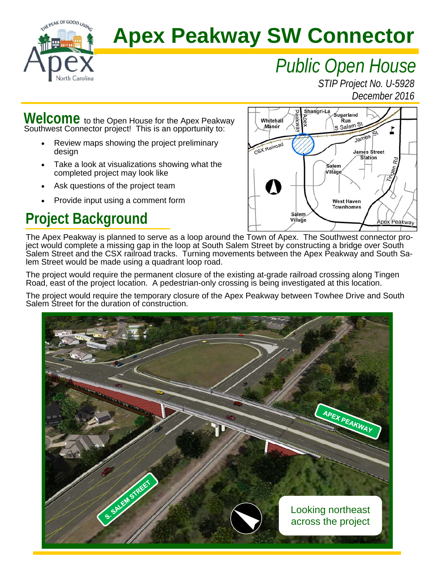

# **Apex Peakway SW Connector**

# *Public Open House*

*STIP Project No. U-5928 December 2016* 

Welcome to the Open House for the Apex Peakway Southwest Connector project! This is an opportunity to:

- Review maps showing the project preliminary design
- Take a look at visualizations showing what the completed project may look like
- Ask questions of the project team
- Provide input using a comment form

## **Project Background**



The Apex Peakway is planned to serve as a loop around the Town of Apex. The Southwest connector project would complete a missing gap in the loop at South Salem Street by constructing a bridge over South Salem Street and the CSX railroad tracks. Turning movements between the Apex Peakway and South Salem Street would be made using a quadrant loop road.

The project would require the permanent closure of the existing at-grade railroad crossing along Tingen Road, east of the project location. A pedestrian-only crossing is being investigated at this location.

The project would require the temporary closure of the Apex Peakway between Towhee Drive and South Salem Street for the duration of construction.